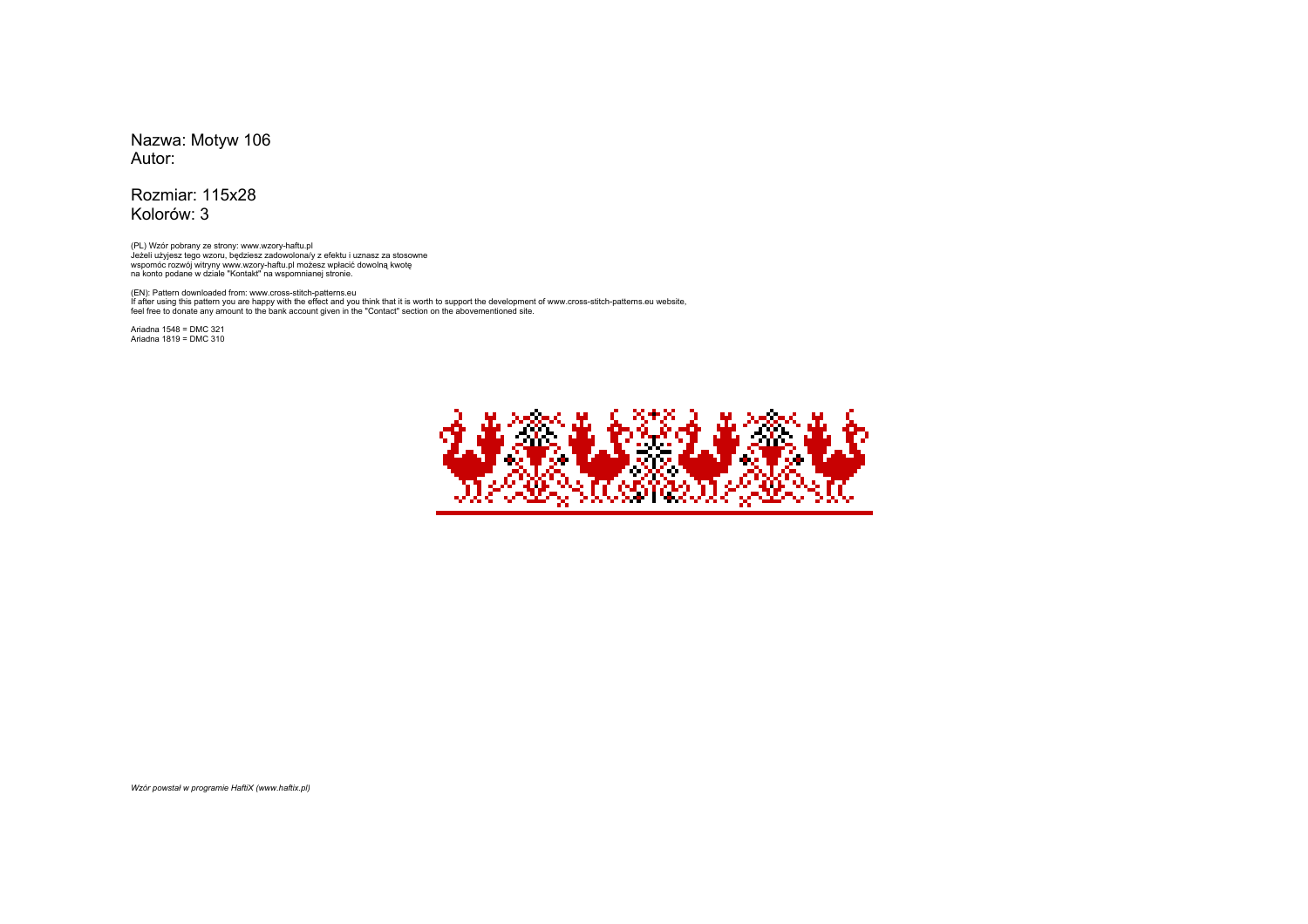Nazwa: Motyw 106Autor:

Rozmiar: 115x28Kolorów: 3

(PL) Wzór pobrany ze strony: www.wzory-haftu.plJeżeli użyjesz tego wzoru, będziesz zadowolona/y z efektu i uznasz za stosowne wspomóc rozwój witryny www.wzory-haftu.pl możesz wpłacić dowolną kwotę na konto podane w dziale "Kontakt" na wspomnianej stronie.

(EN): Pattern downloaded from: www.cross-stitch-patterns.eu If after using this pattern you are happy with the effect and you think that it is worth to support the development of www.cross-stitch-patterns.eu website, feel free to donate any amount to the bank account given in the "Contact" section on the abovementioned site.

Ariadna 1548 = DMC 321Ariadna 1819 = DMC 310



*Wzór powstał w programie HaftiX (www.haftix.pl)*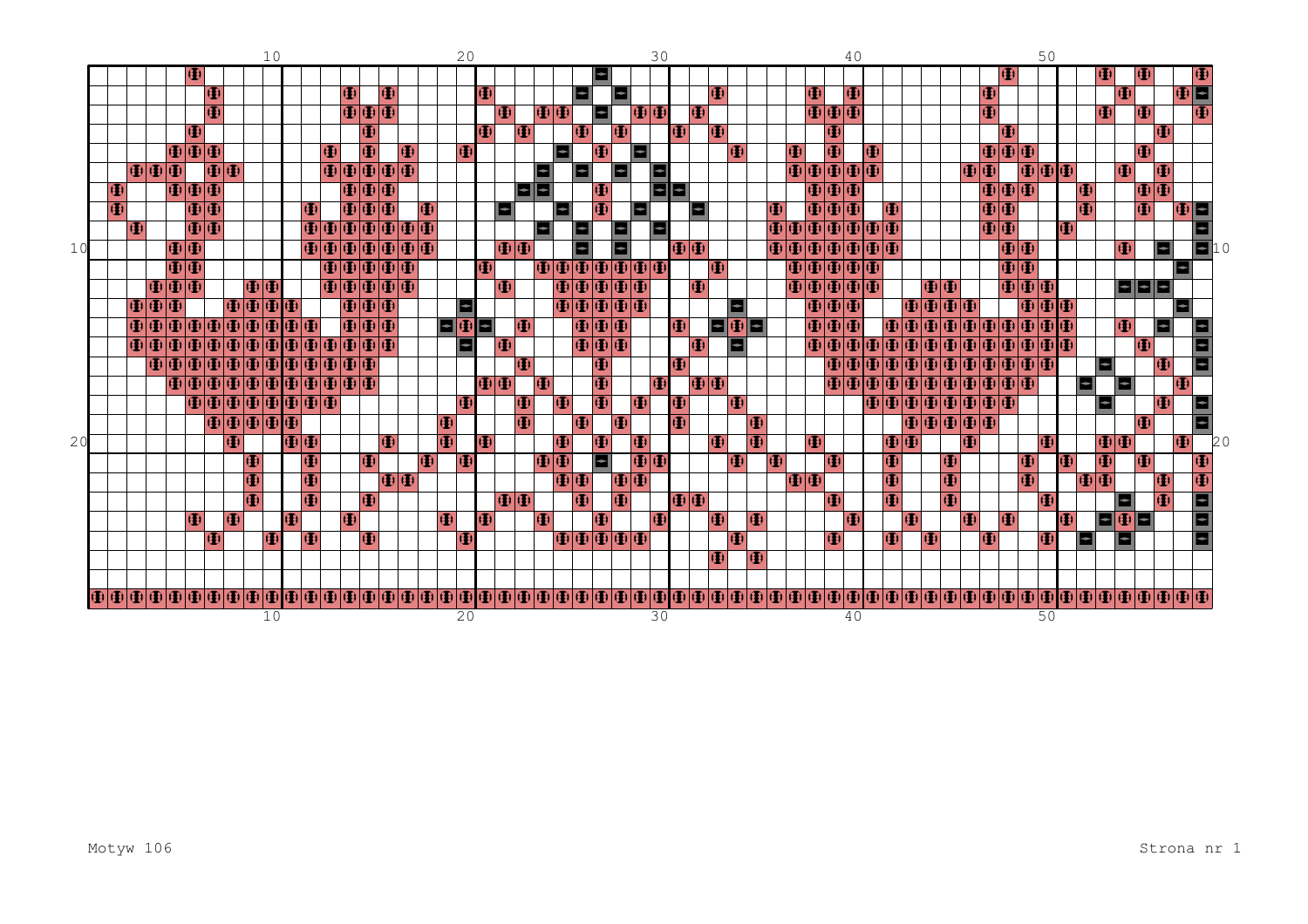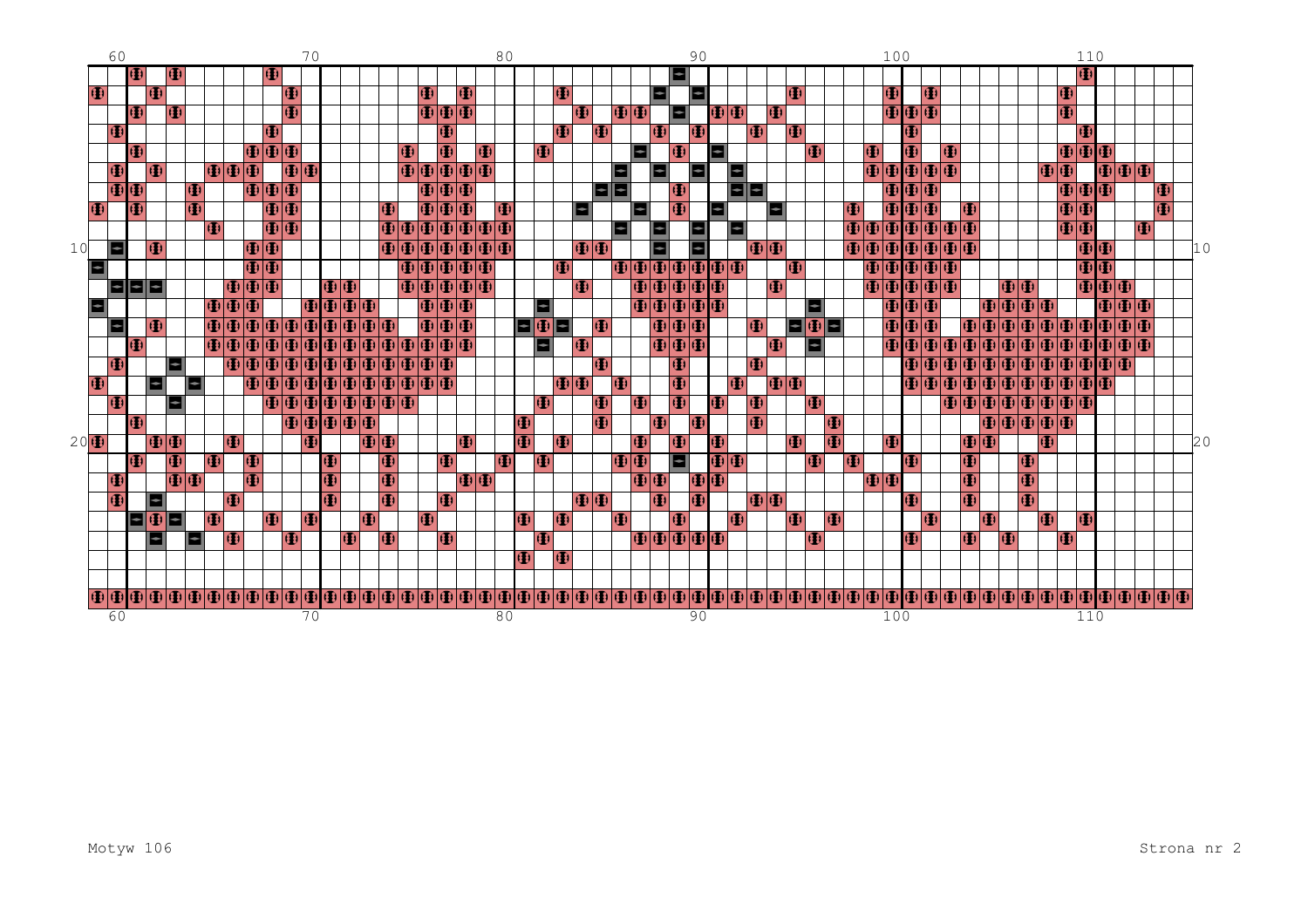